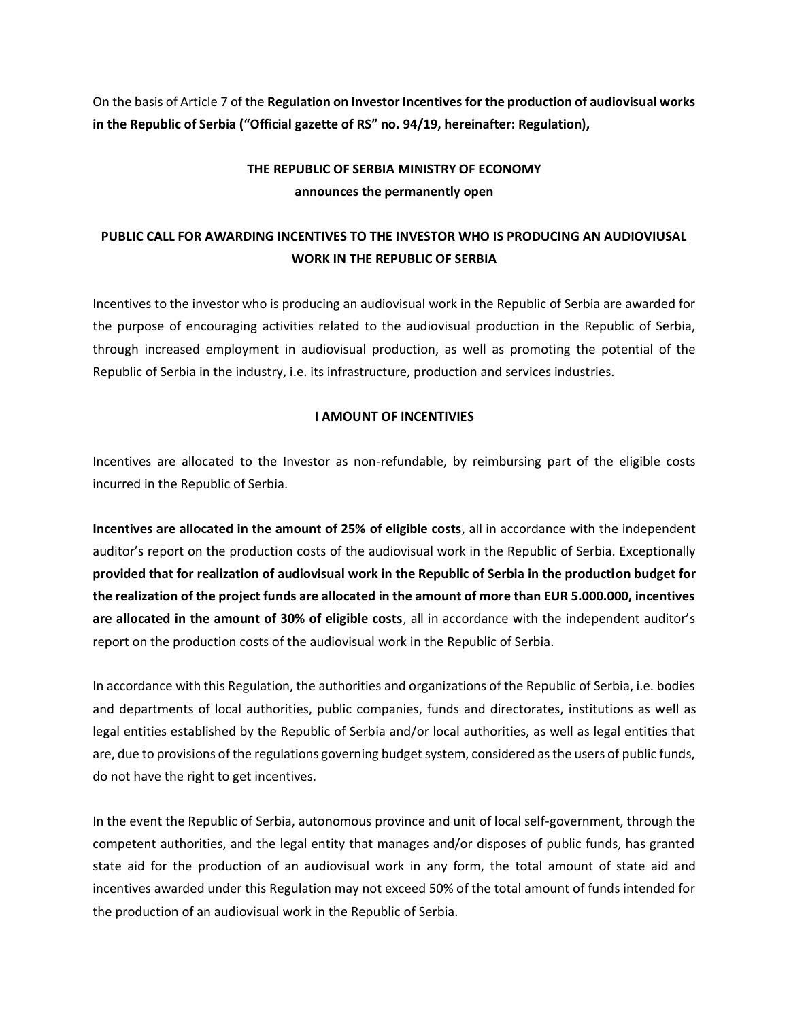On the basis of Article 7 of the **Regulation on Investor Incentives for the production of audiovisual works in the Republic of Serbia ("Official gazette of RS" no. 94/19, hereinafter: Regulation),**

# **THE REPUBLIC OF SERBIA MINISTRY OF ECONOMY announces the permanently open**

# **PUBLIC CALL FOR AWARDING INCENTIVES TO THE INVESTOR WHO IS PRODUCING AN AUDIOVIUSAL WORK IN THE REPUBLIC OF SERBIA**

Incentives to the investor who is producing an audiovisual work in the Republic of Serbia are awarded for the purpose of encouraging activities related to the audiovisual production in the Republic of Serbia, through increased employment in audiovisual production, as well as promoting the potential of the Republic of Serbia in the industry, i.e. its infrastructure, production and services industries.

#### **I AMOUNT OF INCENTIVIES**

Incentives are allocated to the Investor as non-refundable, by reimbursing part of the eligible costs incurred in the Republic of Serbia.

**Incentives are allocated in the amount of 25% of eligible costs**, all in accordance with the independent auditor's report on the production costs of the audiovisual work in the Republic of Serbia. Exceptionally **provided that for realization of audiovisual work in the Republic of Serbia in the production budget for the realization of the project funds are allocated in the amount of more than EUR 5.000.000, incentives are allocated in the amount of 30% of eligible costs**, all in accordance with the independent auditor's report on the production costs of the audiovisual work in the Republic of Serbia.

In accordance with this Regulation, the authorities and organizations of the Republic of Serbia, i.e. bodies and departments of local authorities, public companies, funds and directorates, institutions as well as legal entities established by the Republic of Serbia and/or local authorities, as well as legal entities that are, due to provisions of the regulations governing budget system, considered as the users of public funds, do not have the right to get incentives.

In the event the Republic of Serbia, autonomous province and unit of local self-government, through the competent authorities, and the legal entity that manages and/or disposes of public funds, has granted state aid for the production of an audiovisual work in any form, the total amount of state aid and incentives awarded under this Regulation may not exceed 50% of the total amount of funds intended for the production of an audiovisual work in the Republic of Serbia.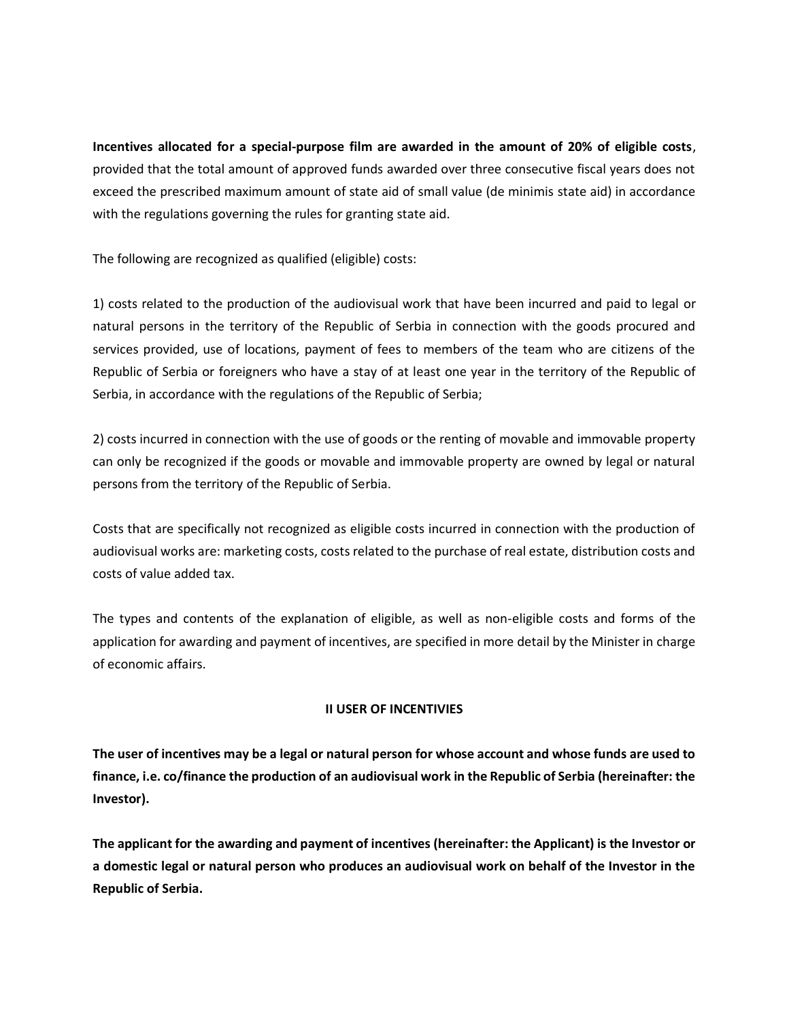**Incentives allocated for a special-purpose film are awarded in the amount of 20% of eligible costs**, provided that the total amount of approved funds awarded over three consecutive fiscal years does not exceed the prescribed maximum amount of state aid of small value (de minimis state aid) in accordance with the regulations governing the rules for granting state aid.

The following are recognized as qualified (eligible) costs:

1) costs related to the production of the audiovisual work that have been incurred and paid to legal or natural persons in the territory of the Republic of Serbia in connection with the goods procured and services provided, use of locations, payment of fees to members of the team who are citizens of the Republic of Serbia or foreigners who have a stay of at least one year in the territory of the Republic of Serbia, in accordance with the regulations of the Republic of Serbia;

2) costs incurred in connection with the use of goods or the renting of movable and immovable property can only be recognized if the goods or movable and immovable property are owned by legal or natural persons from the territory of the Republic of Serbia.

Costs that are specifically not recognized as eligible costs incurred in connection with the production of audiovisual works are: marketing costs, costs related to the purchase of real estate, distribution costs and costs of value added tax.

The types and contents of the explanation of eligible, as well as non-eligible costs and forms of the application for awarding and payment of incentives, are specified in more detail by the Minister in charge of economic affairs.

#### **II USER OF INCENTIVIES**

**The user of incentives may be a legal or natural person for whose account and whose funds are used to finance, i.e. co/finance the production of an audiovisual work in the Republic of Serbia (hereinafter: the Investor).** 

**The applicant for the awarding and payment of incentives (hereinafter: the Applicant) is the Investor or a domestic legal or natural person who produces an audiovisual work on behalf of the Investor in the Republic of Serbia.**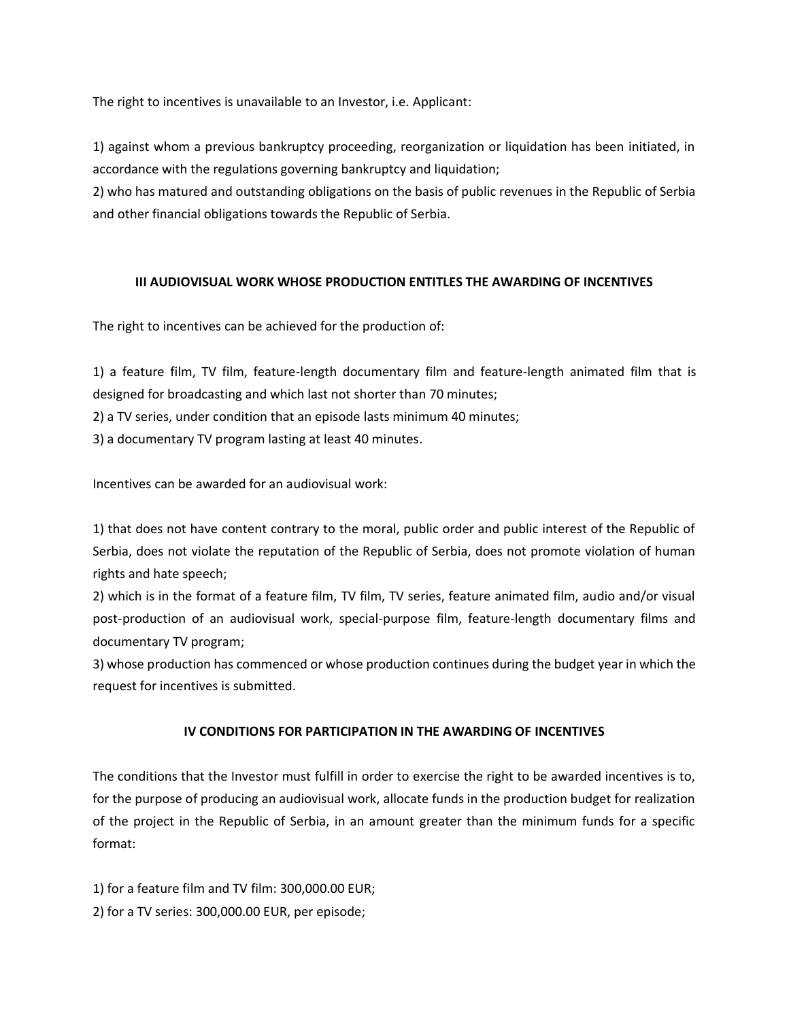The right to incentives is unavailable to an Investor, i.e. Applicant:

1) against whom a previous bankruptcy proceeding, reorganization or liquidation has been initiated, in accordance with the regulations governing bankruptcy and liquidation;

2) who has matured and outstanding obligations on the basis of public revenues in the Republic of Serbia and other financial obligations towards the Republic of Serbia.

#### **III AUDIOVISUAL WORK WHOSE PRODUCTION ENTITLES THE AWARDING OF INCENTIVES**

The right to incentives can be achieved for the production of:

1) a feature film, TV film, feature-length documentary film and feature-length animated film that is designed for broadcasting and which last not shorter than 70 minutes;

2) a TV series, under condition that an episode lasts minimum 40 minutes;

3) a documentary TV program lasting at least 40 minutes.

Incentives can be awarded for an audiovisual work:

1) that does not have content contrary to the moral, public order and public interest of the Republic of Serbia, does not violate the reputation of the Republic of Serbia, does not promote violation of human rights and hate speech;

2) which is in the format of a feature film, TV film, TV series, feature animated film, audio and/or visual post-production of an audiovisual work, special-purpose film, feature-length documentary films and documentary TV program;

3) whose production has commenced or whose production continues during the budget year in which the request for incentives is submitted.

#### **IV CONDITIONS FOR PARTICIPATION IN THE AWARDING OF INCENTIVES**

The conditions that the Investor must fulfill in order to exercise the right to be awarded incentives is to, for the purpose of producing an audiovisual work, allocate funds in the production budget for realization of the project in the Republic of Serbia, in an amount greater than the minimum funds for a specific format:

1) for a feature film and TV film: 300,000.00 EUR;

2) for a TV series: 300,000.00 EUR, per episode;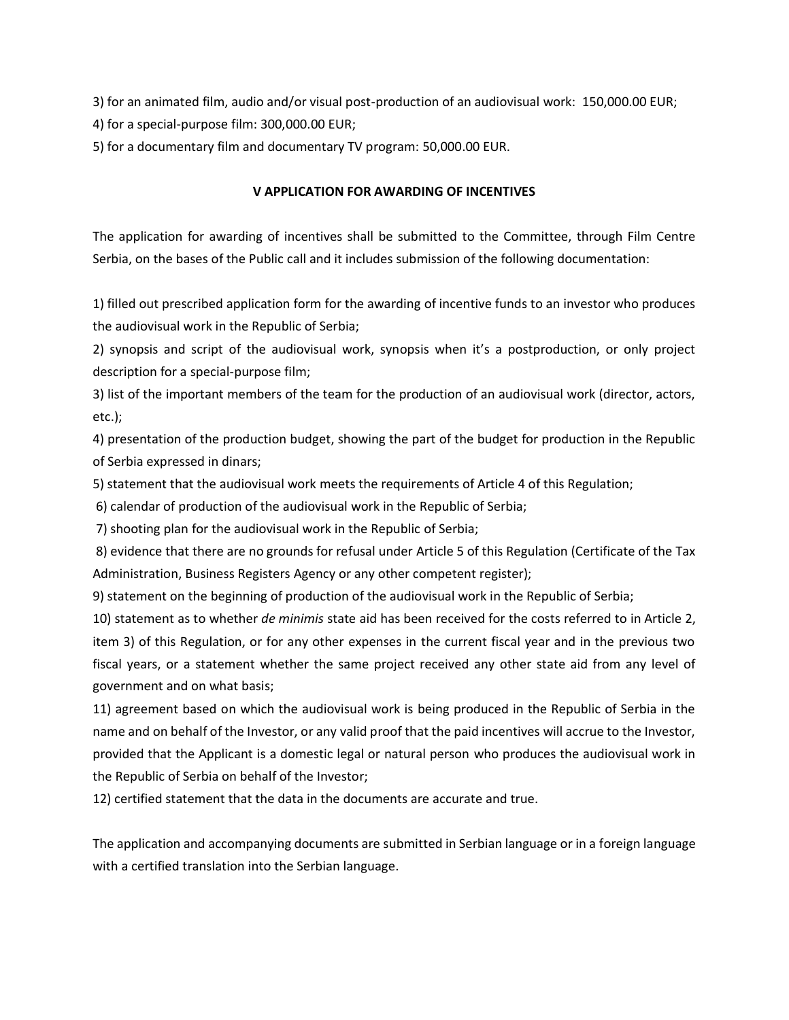3) for an animated film, audio and/or visual post-production of an audiovisual work: 150,000.00 EUR;

4) for a special-purpose film: 300,000.00 EUR;

5) for a documentary film and documentary TV program: 50,000.00 EUR.

#### **V APPLICATION FOR AWARDING OF INCENTIVES**

The application for awarding of incentives shall be submitted to the Committee, through Film Centre Serbia, on the bases of the Public call and it includes submission of the following documentation:

1) filled out prescribed application form for the awarding of incentive funds to an investor who produces the audiovisual work in the Republic of Serbia;

2) synopsis and script of the audiovisual work, synopsis when it's a postproduction, or only project description for a special-purpose film;

3) list of the important members of the team for the production of an audiovisual work (director, actors, etc.);

4) presentation of the production budget, showing the part of the budget for production in the Republic of Serbia expressed in dinars;

5) statement that the audiovisual work meets the requirements of Article 4 of this Regulation;

6) calendar of production of the audiovisual work in the Republic of Serbia;

7) shooting plan for the audiovisual work in the Republic of Serbia;

8) evidence that there are no grounds for refusal under Article 5 of this Regulation (Certificate of the Tax Administration, Business Registers Agency or any other competent register);

9) statement on the beginning of production of the audiovisual work in the Republic of Serbia;

10) statement as to whether *de minimis* state aid has been received for the costs referred to in Article 2, item 3) of this Regulation, or for any other expenses in the current fiscal year and in the previous two fiscal years, or a statement whether the same project received any other state aid from any level of government and on what basis;

11) agreement based on which the audiovisual work is being produced in the Republic of Serbia in the name and on behalf of the Investor, or any valid proof that the paid incentives will accrue to the Investor, provided that the Applicant is a domestic legal or natural person who produces the audiovisual work in the Republic of Serbia on behalf of the Investor;

12) certified statement that the data in the documents are accurate and true.

The application and accompanying documents are submitted in Serbian language or in a foreign language with a certified translation into the Serbian language.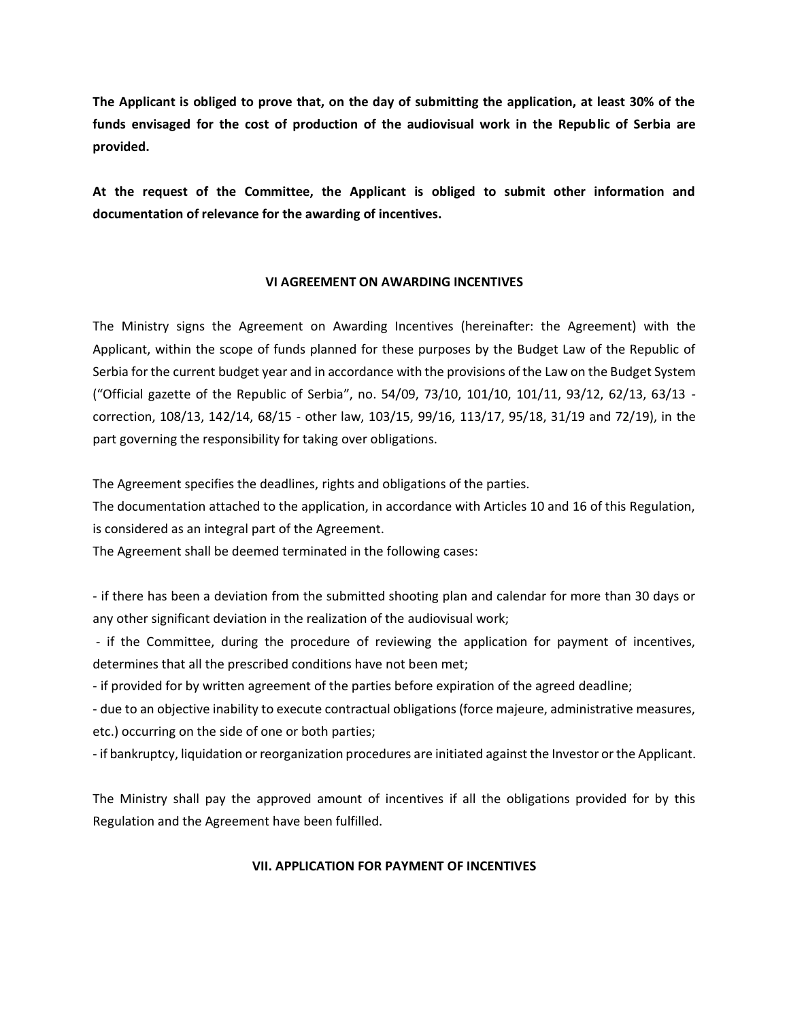**The Applicant is obliged to prove that, on the day of submitting the application, at least 30% of the funds envisaged for the cost of production of the audiovisual work in the Republic of Serbia are provided.** 

**At the request of the Committee, the Applicant is obliged to submit other information and documentation of relevance for the awarding of incentives.** 

#### **VI AGREEMENT ON AWARDING INCENTIVES**

The Ministry signs the Agreement on Awarding Incentives (hereinafter: the Agreement) with the Applicant, within the scope of funds planned for these purposes by the Budget Law of the Republic of Serbia for the current budget year and in accordance with the provisions of the Law on the Budget System ("Official gazette of the Republic of Serbia", no. 54/09, 73/10, 101/10, 101/11, 93/12, 62/13, 63/13 correction, 108/13, 142/14, 68/15 - other law, 103/15, 99/16, 113/17, 95/18, 31/19 and 72/19), in the part governing the responsibility for taking over obligations.

The Agreement specifies the deadlines, rights and obligations of the parties.

The documentation attached to the application, in accordance with Articles 10 and 16 of this Regulation, is considered as an integral part of the Agreement.

The Agreement shall be deemed terminated in the following cases:

- if there has been a deviation from the submitted shooting plan and calendar for more than 30 days or any other significant deviation in the realization of the audiovisual work;

- if the Committee, during the procedure of reviewing the application for payment of incentives, determines that all the prescribed conditions have not been met;

- if provided for by written agreement of the parties before expiration of the agreed deadline;

- due to an objective inability to execute contractual obligations (force majeure, administrative measures, etc.) occurring on the side of one or both parties;

- if bankruptcy, liquidation or reorganization procedures are initiated against the Investor or the Applicant.

The Ministry shall pay the approved amount of incentives if all the obligations provided for by this Regulation and the Agreement have been fulfilled.

### **VII. APPLICATION FOR PAYMENT OF INCENTIVES**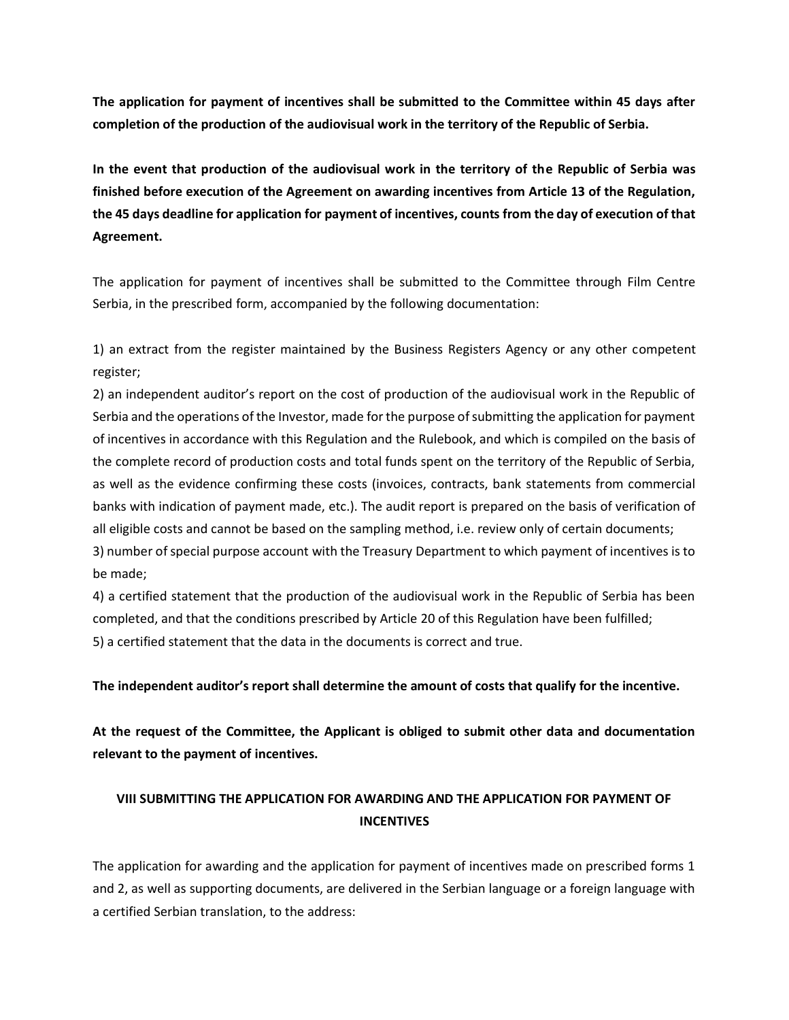**The application for payment of incentives shall be submitted to the Committee within 45 days after completion of the production of the audiovisual work in the territory of the Republic of Serbia.** 

**In the event that production of the audiovisual work in the territory of the Republic of Serbia was finished before execution of the Agreement on awarding incentives from Article 13 of the Regulation, the 45 days deadline for application for payment of incentives, counts from the day of execution of that Agreement.** 

The application for payment of incentives shall be submitted to the Committee through Film Centre Serbia, in the prescribed form, accompanied by the following documentation:

1) an extract from the register maintained by the Business Registers Agency or any other competent register;

2) an independent auditor's report on the cost of production of the audiovisual work in the Republic of Serbia and the operations of the Investor, made for the purpose of submitting the application for payment of incentives in accordance with this Regulation and the Rulebook, and which is compiled on the basis of the complete record of production costs and total funds spent on the territory of the Republic of Serbia, as well as the evidence confirming these costs (invoices, contracts, bank statements from commercial banks with indication of payment made, etc.). The audit report is prepared on the basis of verification of all eligible costs and cannot be based on the sampling method, i.e. review only of certain documents; 3) number of special purpose account with the Treasury Department to which payment of incentives is to be made;

4) a certified statement that the production of the audiovisual work in the Republic of Serbia has been completed, and that the conditions prescribed by Article 20 of this Regulation have been fulfilled; 5) a certified statement that the data in the documents is correct and true.

**The independent auditor's report shall determine the amount of costs that qualify for the incentive.** 

**At the request of the Committee, the Applicant is obliged to submit other data and documentation relevant to the payment of incentives.** 

### **VIII SUBMITTING THE APPLICATION FOR AWARDING AND THE APPLICATION FOR PAYMENT OF INCENTIVES**

The application for awarding and the application for payment of incentives made on prescribed forms 1 and 2, as well as supporting documents, are delivered in the Serbian language or a foreign language with a certified Serbian translation, to the address: